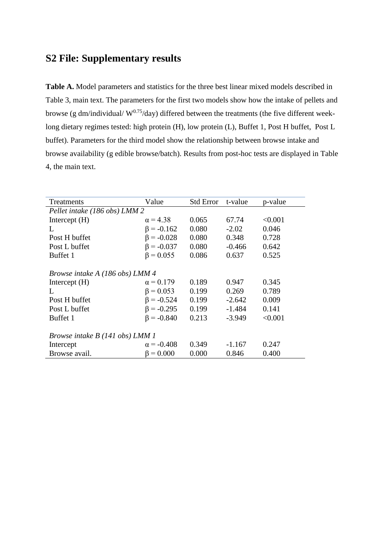## **S2 File: Supplementary results**

**Table A.** Model parameters and statistics for the three best linear mixed models described in Table 3, main text. The parameters for the first two models show how the intake of pellets and browse (g dm/individual/  $W^{0.75}$ /day) differed between the treatments (the five different weeklong dietary regimes tested: high protein (H), low protein (L), Buffet 1, Post H buffet, Post L buffet). Parameters for the third model show the relationship between browse intake and browse availability (g edible browse/batch). Results from post-hoc tests are displayed in Table 4, the main text.

| Treatments                             | Value             | <b>Std Error</b> | t-value  | p-value |  |  |
|----------------------------------------|-------------------|------------------|----------|---------|--|--|
| Pellet intake (186 obs) LMM 2          |                   |                  |          |         |  |  |
| Intercept (H)                          | $\alpha$ = 4.38   | 0.065            | 67.74    | < 0.001 |  |  |
| L                                      | $\beta = -0.162$  | 0.080            | $-2.02$  | 0.046   |  |  |
| Post H buffet                          | $\beta = -0.028$  | 0.080            | 0.348    | 0.728   |  |  |
| Post L buffet                          | $\beta = -0.037$  | 0.080            | $-0.466$ | 0.642   |  |  |
| Buffet 1                               | $\beta = 0.055$   | 0.086            | 0.637    | 0.525   |  |  |
|                                        |                   |                  |          |         |  |  |
| Browse intake A (186 obs) LMM 4        |                   |                  |          |         |  |  |
| Intercept $(H)$                        | $\alpha = 0.179$  | 0.189            | 0.947    | 0.345   |  |  |
| L                                      | $\beta = 0.053$   | 0.199            | 0.269    | 0.789   |  |  |
| Post H buffet                          | $\beta = -0.524$  | 0.199            | $-2.642$ | 0.009   |  |  |
| Post L buffet                          | $\beta = -0.295$  | 0.199            | $-1.484$ | 0.141   |  |  |
| Buffet 1                               | $\beta = -0.840$  | 0.213            | $-3.949$ | < 0.001 |  |  |
|                                        |                   |                  |          |         |  |  |
| <i>Browse intake B (141 obs) LMM 1</i> |                   |                  |          |         |  |  |
| Intercept                              | $\alpha$ = -0.408 | 0.349            | $-1.167$ | 0.247   |  |  |
| Browse avail.                          | $\beta = 0.000$   | 0.000            | 0.846    | 0.400   |  |  |